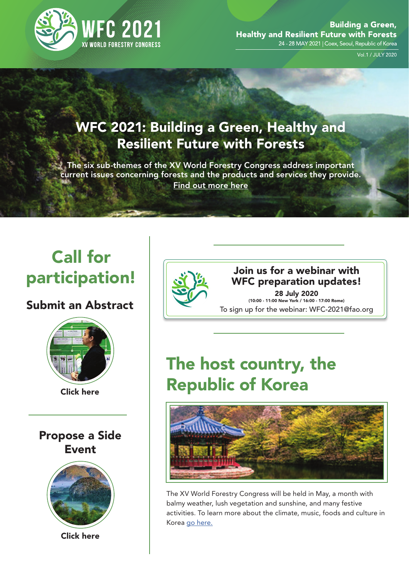

**Building a Green, Healthy and Resilient Future with Forests** 24 - 28 MAY 2021 | Coex, Seoul, Republic of Korea

Vol.1 / JULY 2020

#### WFC 2021: Building a Green, Healthy and Resilient Future with Forests

The six sub-themes of the XV World Forestry Congress address important current issues concerning forests and the products and services they provide. [Find out more here](http://www.wfc2021korea.org/sub02/theme.html)

# Call for participation!

#### Submit an Abstract



[Click here](http://www.wfc2021korea.org/sub02/abstract.html)

Propose a Side Event



Join us for a webinar with [WFC preparation updates!](mailto:WFC-2021%40fao.org?subject=) 

28 July 2020 To sign up for the webinar: WFC-2021@fao.org (10:00 - 11:00 New York / 16:00 - 17:00 Rome)

## The host country, the Republic of Korea



The XV World Forestry Congress will be held in May, a month with balmy weather, lush vegetation and sunshine, and many festive activities. To learn more about the climate, music, foods and culture in Korea [go here.](http://www.wfc2021korea.org/sub06/aboutKorea.html)